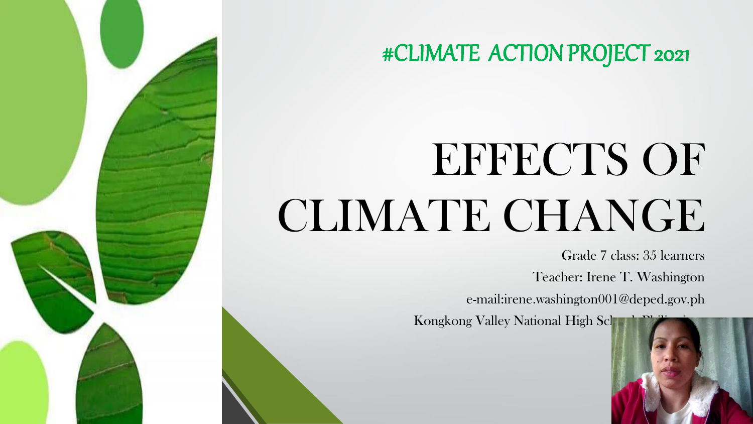# EFFECTS OF CLIMATE CHANGE

Grade 7 class: 35 learners Teacher: Irene T. Washington e-mail:irene.washington001@deped.gov.ph

Kongkong Valley National High Sch

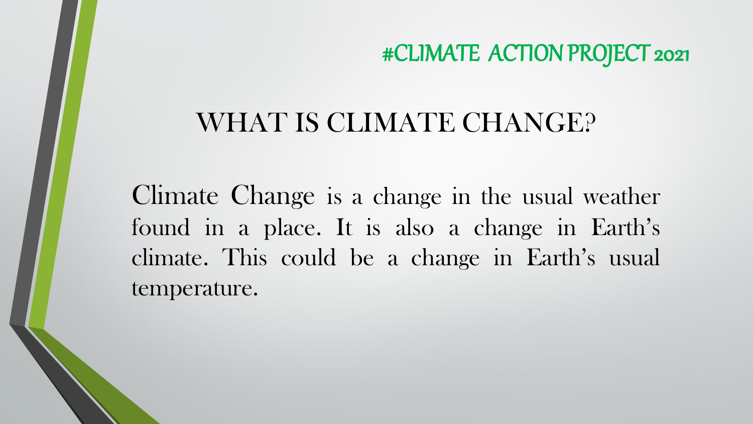# WHAT IS CLIMATE CHANGE?

Climate Change is a change in the usual weather found in a place. It is also a change in Earth's climate. This could be a change in Earth's usual temperature.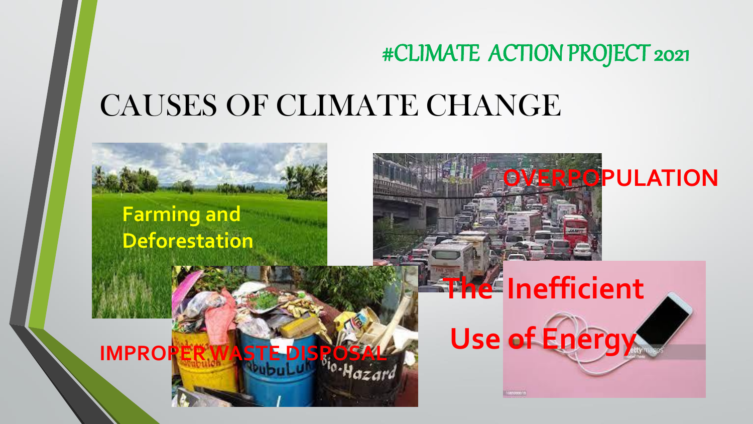# CAUSES OF CLIMATE CHANGE

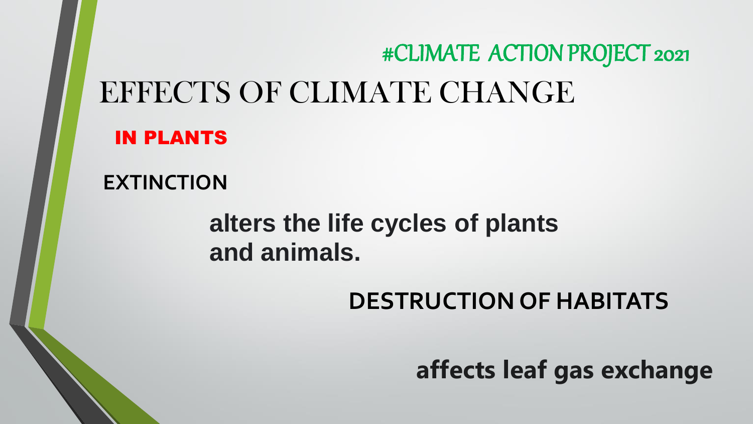# EFFECTS OF CLIMATE CHANGE IN PLANTS #CLIMATE ACTION PROJECT 2021

**EXTINCTION**

## **alters the life cycles of plants and animals.**

## **DESTRUCTION OF HABITATS**

**affects leaf gas exchange**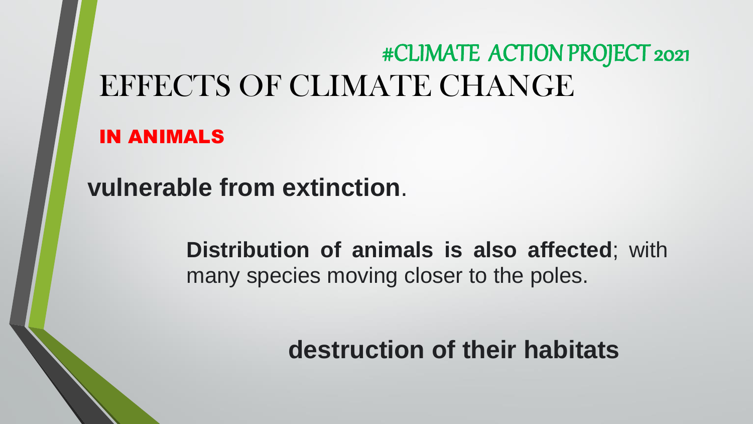# EFFECTS OF CLIMATE CHANGE #CLIMATE ACTION PROJECT 2021

IN ANIMALS

**vulnerable from extinction**.

**Distribution of animals is also affected**; with many species moving closer to the poles.

**destruction of their habitats**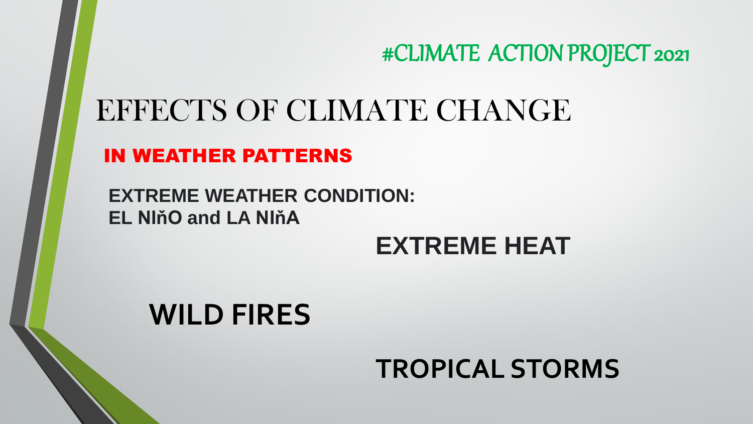# EFFECTS OF CLIMATE CHANGE

IN WEATHER PATTERNS

**EXTREME WEATHER CONDITION: EL NIňO and LA NIňA**

#### **EXTREME HEAT**

# **WILD FIRES**

## **TROPICAL STORMS**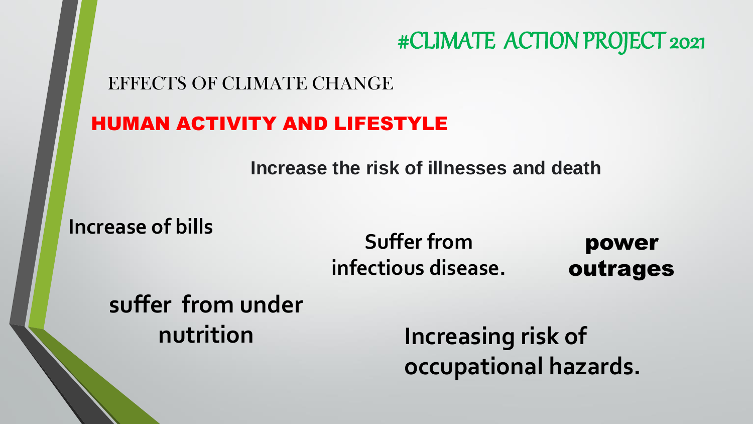EFFECTS OF CLIMATE CHANGE

#### HUMAN ACTIVITY AND LIFESTYLE

**Increase the risk of illnesses and death**

**Increase of bills**

#### **Suffer from infectious disease.**

power outrages

## **suffer from under nutrition**

**Increasing risk of occupational hazards.**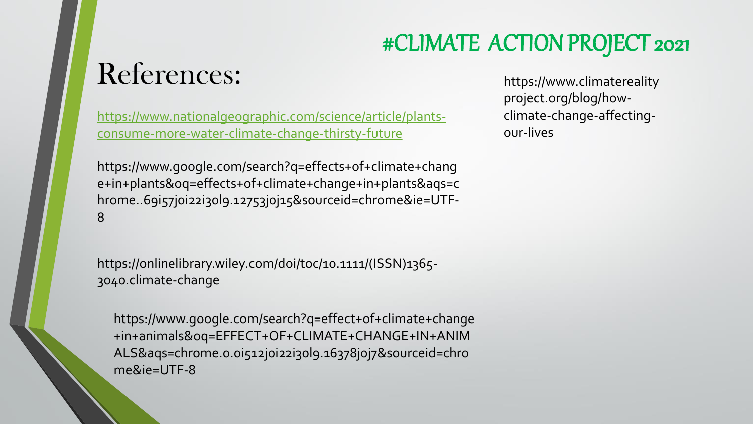# References:

[https://www.nationalgeographic.com/science/article/plants](https://www.nationalgeographic.com/science/article/plants-consume-more-water-climate-change-thirsty-future)consume-more-water-climate-change-thirsty-future

https://www.google.com/search?q=effects+of+climate+chang e+in+plants&oq=effects+of+climate+change+in+plants&aqs=c hrome..69i57j0i22i30l9.12753j0j15&sourceid=chrome&ie=UTF-8

https://onlinelibrary.wiley.com/doi/toc/10.1111/(ISSN)1365- 3040.climate-change

https://www.google.com/search?q=effect+of+climate+change +in+animals&oq=EFFECT+OF+CLIMATE+CHANGE+IN+ANIM ALS&aqs=chrome.0.0i512j0i22i30l9.16378j0j7&sourceid=chro me&ie=UTF-8

https://www.climatereality project.org/blog/howclimate-change-affectingour-lives